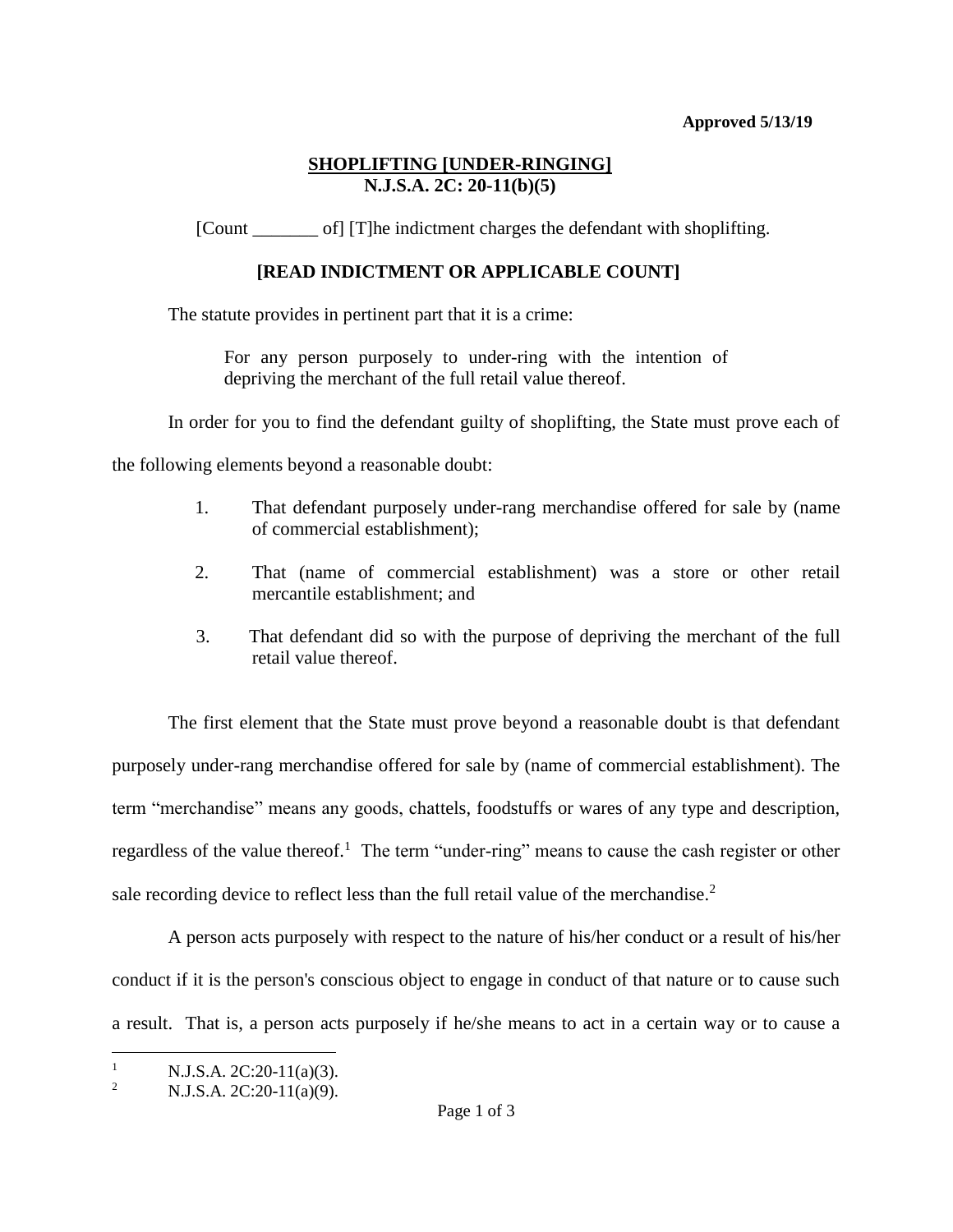### **Approved 5/13/19**

### **SHOPLIFTING [UNDER-RINGING] N.J.S.A. 2C: 20-11(b)(5)**

[Count \_\_\_\_\_\_\_ of] [T]he indictment charges the defendant with shoplifting.

# **[READ INDICTMENT OR APPLICABLE COUNT]**

The statute provides in pertinent part that it is a crime:

For any person purposely to under-ring with the intention of depriving the merchant of the full retail value thereof.

In order for you to find the defendant guilty of shoplifting, the State must prove each of

the following elements beyond a reasonable doubt:

- 1. That defendant purposely under-rang merchandise offered for sale by (name of commercial establishment);
- 2. That (name of commercial establishment) was a store or other retail mercantile establishment; and
- 3. That defendant did so with the purpose of depriving the merchant of the full retail value thereof.

The first element that the State must prove beyond a reasonable doubt is that defendant purposely under-rang merchandise offered for sale by (name of commercial establishment). The term "merchandise" means any goods, chattels, foodstuffs or wares of any type and description, regardless of the value thereof.<sup>1</sup> The term "under-ring" means to cause the cash register or other sale recording device to reflect less than the full retail value of the merchandise.<sup>2</sup>

A person acts purposely with respect to the nature of his/her conduct or a result of his/her conduct if it is the person's conscious object to engage in conduct of that nature or to cause such a result. That is, a person acts purposely if he/she means to act in a certain way or to cause a

 $\overline{a}$ 1 N.J.S.A. 2C:20-11(a)(3).

<sup>2</sup> N.J.S.A. 2C:20-11(a)(9).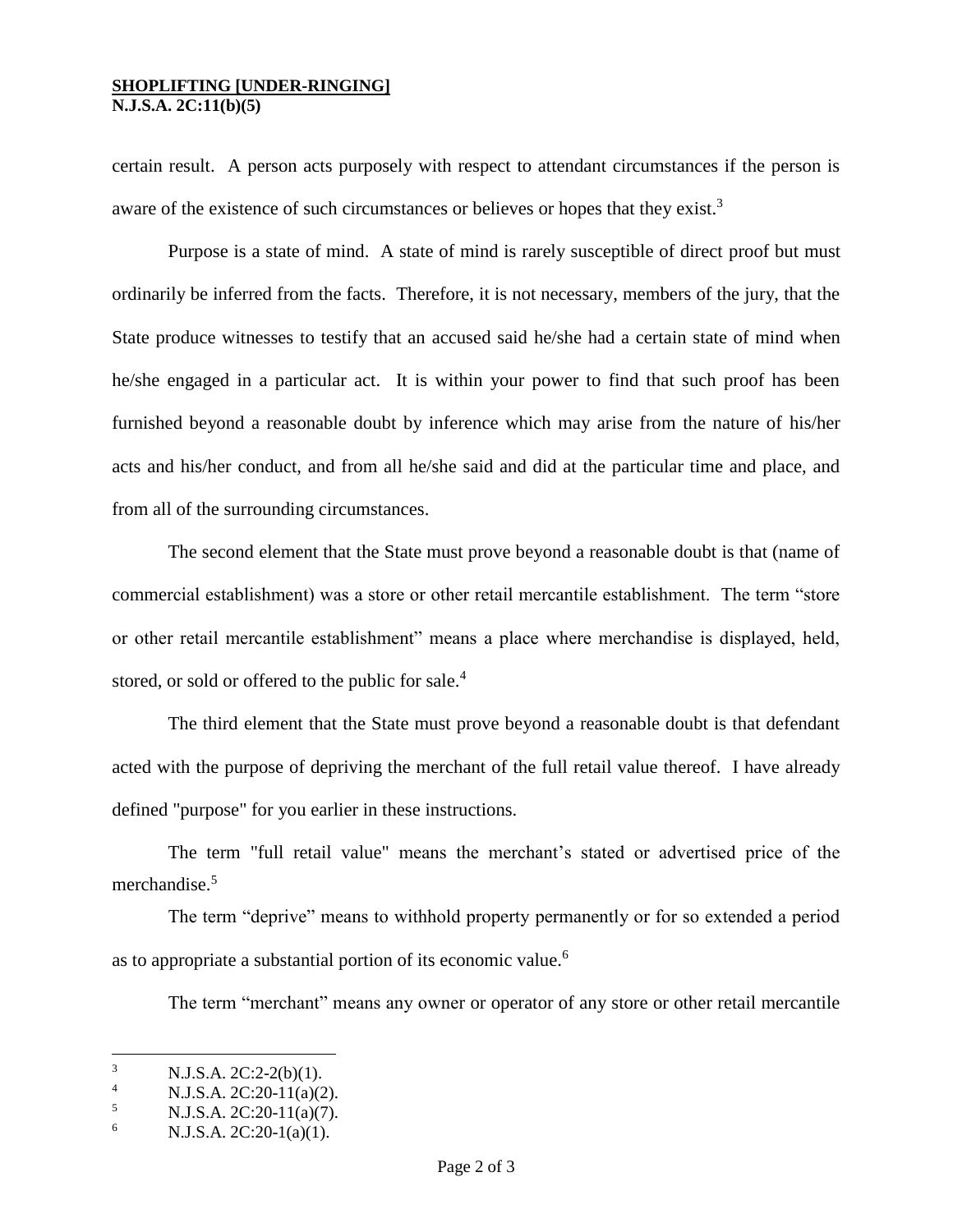#### **SHOPLIFTING [UNDER-RINGING] N.J.S.A. 2C:11(b)(5)**

certain result. A person acts purposely with respect to attendant circumstances if the person is aware of the existence of such circumstances or believes or hopes that they exist.<sup>3</sup>

Purpose is a state of mind. A state of mind is rarely susceptible of direct proof but must ordinarily be inferred from the facts. Therefore, it is not necessary, members of the jury, that the State produce witnesses to testify that an accused said he/she had a certain state of mind when he/she engaged in a particular act. It is within your power to find that such proof has been furnished beyond a reasonable doubt by inference which may arise from the nature of his/her acts and his/her conduct, and from all he/she said and did at the particular time and place, and from all of the surrounding circumstances.

The second element that the State must prove beyond a reasonable doubt is that (name of commercial establishment) was a store or other retail mercantile establishment. The term "store or other retail mercantile establishment" means a place where merchandise is displayed, held, stored, or sold or offered to the public for sale.<sup>4</sup>

The third element that the State must prove beyond a reasonable doubt is that defendant acted with the purpose of depriving the merchant of the full retail value thereof. I have already defined "purpose" for you earlier in these instructions.

The term "full retail value" means the merchant's stated or advertised price of the merchandise.<sup>5</sup>

The term "deprive" means to withhold property permanently or for so extended a period as to appropriate a substantial portion of its economic value.<sup>6</sup>

The term "merchant" means any owner or operator of any store or other retail mercantile

 $\mathbf{R}$  $\frac{3}{4}$  N.J.S.A. 2C:2-2(b)(1).

 $N.J.S.A. 2C:20-11(a)(2).$ 

<sup>5</sup> N.J.S.A. 2C:20-11(a)(7).

<sup>6</sup> N.J.S.A. 2C:20-1(a)(1).